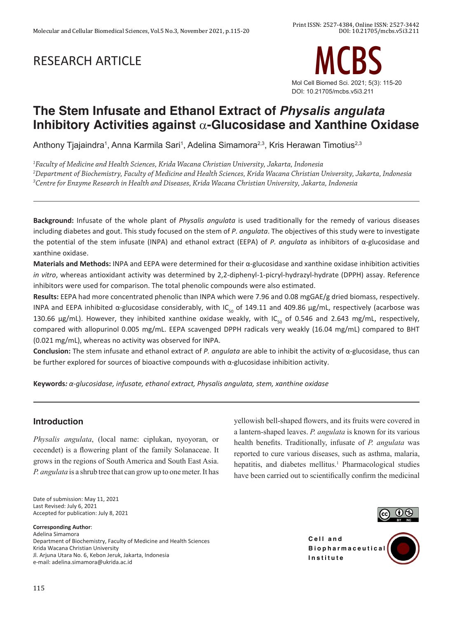# RESEARCH ARTICLE



## **The Stem Infusate and Ethanol Extract of** *Physalis angulata*  **Inhibitory Activities against** a**-Glucosidase and Xanthine Oxidase**

Anthony Tjajaindra<sup>1</sup>, Anna Karmila Sari<sup>1</sup>, Adelina Simamora<sup>2,3</sup>, Kris Herawan Timotius<sup>2,3</sup>

*1 Faculty of Medicine and Health Sciences, Krida Wacana Christian University, Jakarta, Indonesia 2 Department of Biochemistry, Faculty of Medicine and Health Sciences, Krida Wacana Christian University, Jakarta, Indonesia 3 Centre for Enzyme Research in Health and Diseases, Krida Wacana Christian University, Jakarta, Indonesia*

**Background:** Infusate of the whole plant of *Physalis angulata* is used traditionally for the remedy of various diseases including diabetes and gout. This study focused on the stem of *P. angulata*. The objectives of this study were to investigate the potential of the stem infusate (INPA) and ethanol extract (EEPA) of *P. angulata* as inhibitors of α-glucosidase and xanthine oxidase.

**Materials and Methods:** INPA and EEPA were determined for their α-glucosidase and xanthine oxidase inhibition activities *in vitro*, whereas antioxidant activity was determined by 2,2-diphenyl-1-picryl-hydrazyl-hydrate (DPPH) assay. Reference inhibitors were used for comparison. The total phenolic compounds were also estimated.

**Results:** EEPA had more concentrated phenolic than INPA which were 7.96 and 0.08 mgGAE/g dried biomass, respectively. INPA and EEPA inhibited α-glucosidase considerably, with IC<sub>50</sub> of 149.11 and 409.86 µg/mL, respectively (acarbose was 130.66  $\mu$ g/mL). However, they inhibited xanthine oxidase weakly, with IC<sub>50</sub> of 0.546 and 2.643 mg/mL, respectively, compared with allopurinol 0.005 mg/mL. EEPA scavenged DPPH radicals very weakly (16.04 mg/mL) compared to BHT (0.021 mg/mL), whereas no activity was observed for INPA.

**Conclusion:** The stem infusate and ethanol extract of *P. angulata* are able to inhibit the activity of α-glucosidase, thus can be further explored for sources of bioactive compounds with α-glucosidase inhibition activity.

**Keywords***: α-glucosidase, infusate, ethanol extract, Physalis angulata, stem, xanthine oxidase*

## **Introduction**

*Physalis angulata*, (local name: ciplukan, nyoyoran, or cecendet) is a flowering plant of the family Solanaceae. It grows in the regions of South America and South East Asia. *P. angulata* is a shrub tree that can grow up to one meter. It has

Date of submission: May 11, 2021 Last Revised: July 6, 2021 Accepted for publication: July 8, 2021

#### **Corresponding Author**:

Adelina Simamora Department of Biochemistry, Faculty of Medicine and Health Sciences Krida Wacana Christian University Jl. Arjuna Utara No. 6, Kebon Jeruk, Jakarta, Indonesia e-mail: adelina.simamora@ukrida.ac.id

yellowish bell-shaped flowers, and its fruits were covered in a lantern-shaped leaves. *P. angulata* is known for its various health benefits. Traditionally, infusate of *P. angulata* was reported to cure various diseases, such as asthma, malaria, hepatitis, and diabetes mellitus.<sup>1</sup> Pharmacological studies have been carried out to scientifically confirm the medicinal



**Cell** and **B i o p h a r m a c e u t i c a l Institute**

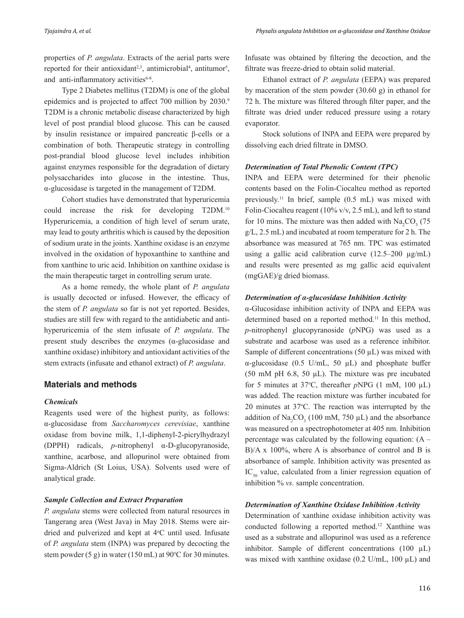properties of *P. angulata*. Extracts of the aerial parts were reported for their antioxidant<sup>2,3</sup>, antimicrobial<sup>4</sup>, antitumor<sup>5</sup>, and anti-inflammatory activities6-8.

Type 2 Diabetes mellitus (T2DM) is one of the global epidemics and is projected to affect 700 million by 2030.9 T2DM is a chronic metabolic disease characterized by high level of post prandial blood glucose. This can be caused by insulin resistance or impaired pancreatic β-cells or a combination of both. Therapeutic strategy in controlling post-prandial blood glucose level includes inhibition against enzymes responsible for the degradation of dietary polysaccharides into glucose in the intestine. Thus, α-glucosidase is targeted in the management of T2DM.

Cohort studies have demonstrated that hyperuricemia could increase the risk for developing T2DM.10 Hyperuricemia, a condition of high level of serum urate, may lead to gouty arthritis which is caused by the deposition of sodium urate in the joints. Xanthine oxidase is an enzyme involved in the oxidation of hypoxanthine to xanthine and from xanthine to uric acid. Inhibition on xanthine oxidase is the main therapeutic target in controlling serum urate.

As a home remedy, the whole plant of *P. angulata*  is usually decocted or infused. However, the efficacy of the stem of *P. angulata* so far is not yet reported. Besides, studies are still few with regard to the antidiabetic and antihyperuricemia of the stem infusate of *P. angulata*. The present study describes the enzymes (α-glucosidase and xanthine oxidase) inhibitory and antioxidant activities of the stem extracts (infusate and ethanol extract) of *P. angulata*.

## **Materials and methods**

#### *Chemicals*

Reagents used were of the highest purity, as follows: α-glucosidase from *Saccharomyces cerevisiae*, xanthine oxidase from bovine milk, 1,1-diphenyl-2-picrylhydrazyl (DPPH) radicals, *p*-nitrophenyl α-D-glucopyranoside, xanthine, acarbose, and allopurinol were obtained from Sigma-Aldrich (St Loius, USA). Solvents used were of analytical grade.

#### *Sample Collection and Extract Preparation*

*P. angulata* stems were collected from natural resources in Tangerang area (West Java) in May 2018. Stems were airdried and pulverized and kept at 4°C until used. Infusate of *P. angulata* stem (INPA) was prepared by decocting the stem powder  $(5 g)$  in water  $(150 \text{ mL})$  at  $90^{\circ}$ C for 30 minutes. Infusate was obtained by filtering the decoction, and the filtrate was freeze-dried to obtain solid material.

Ethanol extract of *P. angulata* (EEPA) was prepared by maceration of the stem powder (30.60 g) in ethanol for 72 h. The mixture was filtered through filter paper, and the filtrate was dried under reduced pressure using a rotary evaporator.

Stock solutions of INPA and EEPA were prepared by dissolving each dried filtrate in DMSO.

#### *Determination of Total Phenolic Content (TPC)*

INPA and EEPA were determined for their phenolic contents based on the Folin-Ciocalteu method as reported previously.<sup>11</sup> In brief, sample  $(0.5 \text{ mL})$  was mixed with Folin-Ciocalteu reagent (10% v/v, 2.5 mL), and left to stand for 10 mins. The mixture was then added with  $\text{Na}_2\text{CO}_3$  (75 g/L, 2.5 mL) and incubated at room temperature for 2 h. The absorbance was measured at 765 nm. TPC was estimated using a gallic acid calibration curve  $(12.5-200 \text{ µg/mL})$ and results were presented as mg gallic acid equivalent (mgGAE)/g dried biomass.

#### *Determination of α-glucosidase Inhibition Activity*

α-Glucosidase inhibition activity of INPA and EEPA was determined based on a reported method.<sup>11</sup> In this method, *p*-nitrophenyl glucopyranoside (*p*NPG) was used as a substrate and acarbose was used as a reference inhibitor. Sample of different concentrations  $(50 \mu L)$  was mixed with α-glucosidase (0.5 U/mL, 50 µL) and phosphate buffer (50 mM pH 6.8, 50 µL). The mixture was pre incubated for 5 minutes at 37 $\degree$ C, thereafter *pNPG* (1 mM, 100  $\mu$ L) was added. The reaction mixture was further incubated for  $20$  minutes at  $37^{\circ}$ C. The reaction was interrupted by the addition of  $\text{Na}_2\text{CO}_3$  (100 mM, 750  $\mu$ L) and the absorbance was measured on a spectrophotometer at 405 nm. Inhibition percentage was calculated by the following equation:  $(A -$ B)/A x 100%, where A is absorbance of control and B is absorbance of sample. Inhibition activity was presented as  $IC_{50}$  value, calculated from a linier regression equation of inhibition % *vs.* sample concentration.

#### *Determination of Xanthine Oxidase Inhibition Activity*

Determination of xanthine oxidase inhibition activity was conducted following a reported method.<sup>12</sup> Xanthine was used as a substrate and allopurinol was used as a reference inhibitor. Sample of different concentrations (100 µL) was mixed with xanthine oxidase  $(0.2 \text{ U/mL}, 100 \mu\text{L})$  and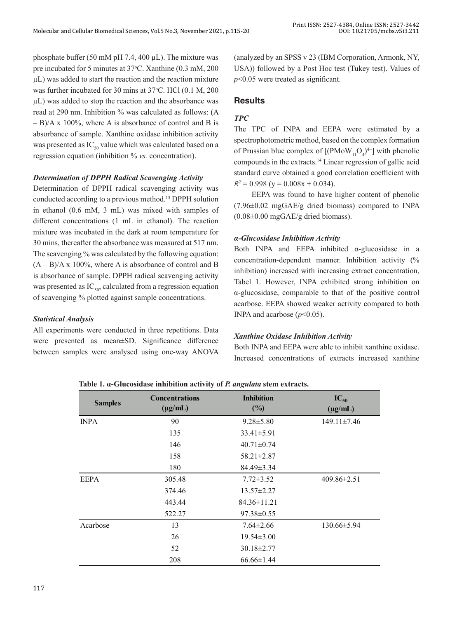phosphate buffer (50 mM pH 7.4, 400  $\mu$ L). The mixture was pre incubated for 5 minutes at 37°C. Xanthine (0.3 mM, 200 µL) was added to start the reaction and the reaction mixture was further incubated for 30 mins at 37°C. HCl (0.1 M, 200 µL) was added to stop the reaction and the absorbance was read at 290 nm. Inhibition % was calculated as follows: (A – B)/A x 100%, where A is absorbance of control and B is absorbance of sample. Xanthine oxidase inhibition activity was presented as  $IC_{50}$  value which was calculated based on a regression equation (inhibition % *vs.* concentration).

#### *Determination of DPPH Radical Scavenging Activity*

Determination of DPPH radical scavenging activity was conducted according to a previous method.<sup>13</sup> DPPH solution in ethanol (0.6 mM, 3 mL) was mixed with samples of different concentrations (1 mL in ethanol). The reaction mixture was incubated in the dark at room temperature for 30 mins, thereafter the absorbance was measured at 517 nm. The scavenging % was calculated by the following equation:  $(A - B)/A$  x 100%, where A is absorbance of control and B is absorbance of sample. DPPH radical scavenging activity was presented as  $IC_{50}$ , calculated from a regression equation of scavenging % plotted against sample concentrations.

## *Statistical Analysis*

All experiments were conducted in three repetitions. Data were presented as mean±SD. Significance difference between samples were analysed using one-way ANOVA

(analyzed by an SPSS v 23 (IBM Corporation, Armonk, NY, USA)) followed by a Post Hoc test (Tukey test). Values of *p*<0.05 were treated as significant.

## **Results**

## *TPC*

The TPC of INPA and EEPA were estimated by a spectrophotometric method, based on the complex formation of Prussian blue complex of  $[(PMoW_{11}O_4)^{4-}]$  with phenolic compounds in the extracts.<sup>14</sup> Linear regression of gallic acid standard curve obtained a good correlation coefficient with  $R^2 = 0.998$  (y = 0.008x + 0.034).

EEPA was found to have higher content of phenolic (7.96±0.02 mgGAE/g dried biomass) compared to INPA (0.08±0.00 mgGAE/g dried biomass).

#### *α-Glucosidase Inhibition Activity*

Both INPA and EEPA inhibited  $\alpha$ -glucosidase in a concentration-dependent manner. Inhibition activity (% inhibition) increased with increasing extract concentration, Tabel 1. However, INPA exhibited strong inhibition on α-glucosidase, comparable to that of the positive control acarbose. EEPA showed weaker activity compared to both INPA and acarbose  $(p<0.05)$ .

## *Xanthine Oxidase Inhibition Activity*

Both INPA and EEPA were able to inhibit xanthine oxidase. Increased concentrations of extracts increased xanthine

| <b>Samples</b> | <b>Concentrations</b><br>$(\mu g/mL)$ | <b>Inhibition</b><br>(%) | $IC_{50}$<br>$(\mu g/mL)$ |
|----------------|---------------------------------------|--------------------------|---------------------------|
| <b>INPA</b>    | 90                                    | $9.28 \pm 5.80$          | $149.11 \pm 7.46$         |
|                | 135                                   | $33.41 \pm 5.91$         |                           |
|                | 146                                   | $40.71 \pm 0.74$         |                           |
|                | 158                                   | $58.21 \pm 2.87$         |                           |
|                | 180                                   | 84.49±3.34               |                           |
| <b>EEPA</b>    | 305.48                                | $7.72 \pm 3.52$          | $409.86 \pm 2.51$         |
|                | 374.46                                | $13.57 \pm 2.27$         |                           |
|                | 443.44                                | $84.36 \pm 11.21$        |                           |
|                | 522.27                                | $97.38 \pm 0.55$         |                           |
| Acarbose       | 13                                    | $7.64 \pm 2.66$          | $130.66 \pm 5.94$         |
|                | 26                                    | $19.54 \pm 3.00$         |                           |
|                | 52                                    | $30.18 \pm 2.77$         |                           |
|                | 208                                   | $66.66 \pm 1.44$         |                           |

**Table 1. α-Glucosidase inhibition activity of** *P. angulata* **stem extracts.**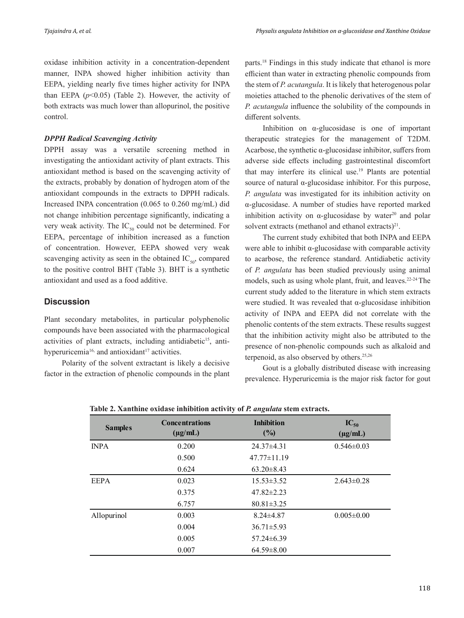oxidase inhibition activity in a concentration-dependent manner, INPA showed higher inhibition activity than EEPA, yielding nearly five times higher activity for INPA than EEPA  $(p<0.05)$  (Table 2). However, the activity of both extracts was much lower than allopurinol, the positive control.

#### *DPPH Radical Scavenging Activity*

DPPH assay was a versatile screening method in investigating the antioxidant activity of plant extracts. This antioxidant method is based on the scavenging activity of the extracts, probably by donation of hydrogen atom of the antioxidant compounds in the extracts to DPPH radicals. Increased INPA concentration (0.065 to 0.260 mg/mL) did not change inhibition percentage significantly, indicating a very weak activity. The  $IC_{50}$  could not be determined. For EEPA, percentage of inhibition increased as a function of concentration. However, EEPA showed very weak scavenging activity as seen in the obtained  $IC_{50}$ , compared to the positive control BHT (Table 3). BHT is a synthetic antioxidant and used as a food additive.

## **Discussion**

Plant secondary metabolites, in particular polyphenolic compounds have been associated with the pharmacological activities of plant extracts, including antidiabetic<sup>15</sup>, antihyperuricemia<sup>16,</sup> and antioxidant<sup>17</sup> activities.

Polarity of the solvent extractant is likely a decisive factor in the extraction of phenolic compounds in the plant parts.18 Findings in this study indicate that ethanol is more efficient than water in extracting phenolic compounds from the stem of *P. acutangula*. It is likely that heterogenous polar moieties attached to the phenolic derivatives of the stem of *P. acutangula* influence the solubility of the compounds in different solvents.

Inhibition on  $\alpha$ -glucosidase is one of important therapeutic strategies for the management of T2DM. Acarbose, the synthetic  $\alpha$ -glucosidase inhibitor, suffers from adverse side effects including gastrointestinal discomfort that may interfere its clinical use.19 Plants are potential source of natural α-glucosidase inhibitor. For this purpose, *P. angulata* was investigated for its inhibition activity on α-glucosidase. A number of studies have reported marked inhibition activity on  $\alpha$ -glucosidase by water<sup>20</sup> and polar solvent extracts (methanol and ethanol extracts) $^{21}$ .

The current study exhibited that both INPA and EEPA were able to inhibit  $\alpha$ -glucosidase with comparable activity to acarbose, the reference standard. Antidiabetic activity of *P. angulata* has been studied previously using animal models, such as using whole plant, fruit, and leaves.<sup>22-24</sup> The current study added to the literature in which stem extracts were studied. It was revealed that α-glucosidase inhibition activity of INPA and EEPA did not correlate with the phenolic contents of the stem extracts. These results suggest that the inhibition activity might also be attributed to the presence of non-phenolic compounds such as alkaloid and terpenoid, as also observed by others.<sup>25,26</sup>

Gout is a globally distributed disease with increasing prevalence. Hyperuricemia is the major risk factor for gout

| <b>Samples</b> | <b>Concentrations</b><br>$(\mu g/mL)$ | <b>Inhibition</b><br>(%) | $IC_{50}$<br>$(\mu g/mL)$ |
|----------------|---------------------------------------|--------------------------|---------------------------|
| <b>INPA</b>    | 0.200                                 | 24.37±4.31               | $0.546 \pm 0.03$          |
|                | 0.500                                 | $47.77 \pm 11.19$        |                           |
|                | 0.624                                 | $63.20 \pm 8.43$         |                           |
| <b>EEPA</b>    | 0.023                                 | $15.53 \pm 3.52$         | $2.643 \pm 0.28$          |
|                | 0.375                                 | $47.82 \pm 2.23$         |                           |
|                | 6.757                                 | $80.81 \pm 3.25$         |                           |
| Allopurinol    | 0.003                                 | $8.24 \pm 4.87$          | $0.005 \pm 0.00$          |
|                | 0.004                                 | $36.71 \pm 5.93$         |                           |
|                | 0.005                                 | $57.24 \pm 6.39$         |                           |
|                | 0.007                                 | $64.59 \pm 8.00$         |                           |

**Table 2. Xanthine oxidase inhibition activity of** *P. angulata* **stem extracts.**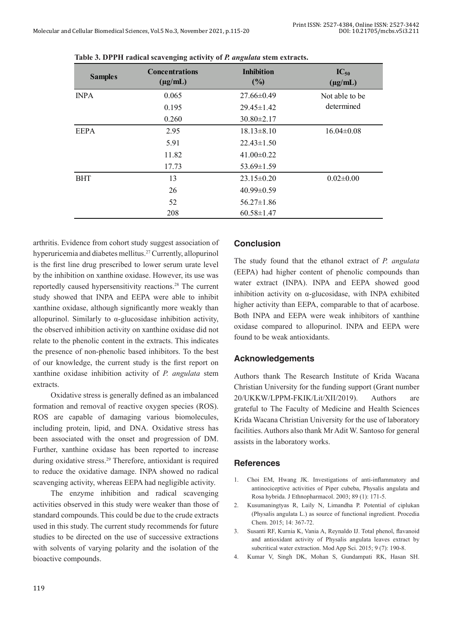| <b>Samples</b> | <b>Concentrations</b><br>$(\mu g/mL)$ | <b>Inhibition</b><br>(%) | $IC_{50}$<br>$(\mu g/mL)$ |
|----------------|---------------------------------------|--------------------------|---------------------------|
| <b>INPA</b>    | 0.065                                 | 27.66±0.49               | Not able to be            |
|                | 0.195                                 | $29.45 \pm 1.42$         | determined                |
|                | 0.260                                 | $30.80 \pm 2.17$         |                           |
| <b>EEPA</b>    | 2.95                                  | $18.13 \pm 8.10$         | $16.04 \pm 0.08$          |
|                | 5.91                                  | $22.43 \pm 1.50$         |                           |
|                | 11.82                                 | $41.00 \pm 0.22$         |                           |
|                | 17.73                                 | $53.69 \pm 1.59$         |                           |
| <b>BHT</b>     | 13                                    | $23.15 \pm 0.20$         | $0.02 \pm 0.00$           |
|                | 26                                    | $40.99 \pm 0.59$         |                           |
|                | 52                                    | $56.27 \pm 1.86$         |                           |
|                | 208                                   | $60.58 \pm 1.47$         |                           |

**Table 3. DPPH radical scavenging activity of** *P. angulata* **stem extracts.** 

arthritis. Evidence from cohort study suggest association of hyperuricemia and diabetes mellitus.27 Currently, allopurinol is the first line drug prescribed to lower serum urate level by the inhibition on xanthine oxidase. However, its use was reportedly caused hypersensitivity reactions.28 The current study showed that INPA and EEPA were able to inhibit xanthine oxidase, although significantly more weakly than allopurinol. Similarly to α-glucosidase inhibition activity, the observed inhibition activity on xanthine oxidase did not relate to the phenolic content in the extracts. This indicates the presence of non-phenolic based inhibitors. To the best of our knowledge, the current study is the first report on xanthine oxidase inhibition activity of *P. angulata* stem extracts.

Oxidative stress is generally defined as an imbalanced formation and removal of reactive oxygen species (ROS). ROS are capable of damaging various biomolecules, including protein, lipid, and DNA. Oxidative stress has been associated with the onset and progression of DM. Further, xanthine oxidase has been reported to increase during oxidative stress.<sup>29</sup> Therefore, antioxidant is required to reduce the oxidative damage. INPA showed no radical scavenging activity, whereas EEPA had negligible activity.

The enzyme inhibition and radical scavenging activities observed in this study were weaker than those of standard compounds. This could be due to the crude extracts used in this study. The current study recommends for future studies to be directed on the use of successive extractions with solvents of varying polarity and the isolation of the bioactive compounds.

## **Conclusion**

The study found that the ethanol extract of *P. angulata*  (EEPA) had higher content of phenolic compounds than water extract (INPA). INPA and EEPA showed good inhibition activity on α-glucosidase, with INPA exhibited higher activity than EEPA, comparable to that of acarbose. Both INPA and EEPA were weak inhibitors of xanthine oxidase compared to allopurinol. INPA and EEPA were found to be weak antioxidants.

## **Acknowledgements**

Authors thank The Research Institute of Krida Wacana Christian University for the funding support (Grant number 20/UKKW/LPPM-FKIK/Lit/XII/2019). Authors are grateful to The Faculty of Medicine and Health Sciences Krida Wacana Christian University for the use of laboratory facilities. Authors also thank Mr Adit W. Santoso for general assists in the laboratory works.

## **References**

- 1. Choi EM, Hwang JK. Investigations of anti-inflammatory and antinociceptive activities of Piper cubeba, Physalis angulata and Rosa hybrida. J Ethnopharmacol. 2003; 89 (1): 171-5.
- 2. Kusumaningtyas R, Laily N, Limandha P. Potential of ciplukan (Physalis angulata L.) as source of functional ingredient. Procedia Chem. 2015; 14: 367-72.
- 3. Susanti RF, Kurnia K, Vania A, Reynaldo IJ. Total phenol, flavanoid and antioxidant activity of Physalis angulata leaves extract by subcritical water extraction. Mod App Sci. 2015; 9 (7): 190-8.
- 4. Kumar V, Singh DK, Mohan S, Gundampati RK, Hasan SH.